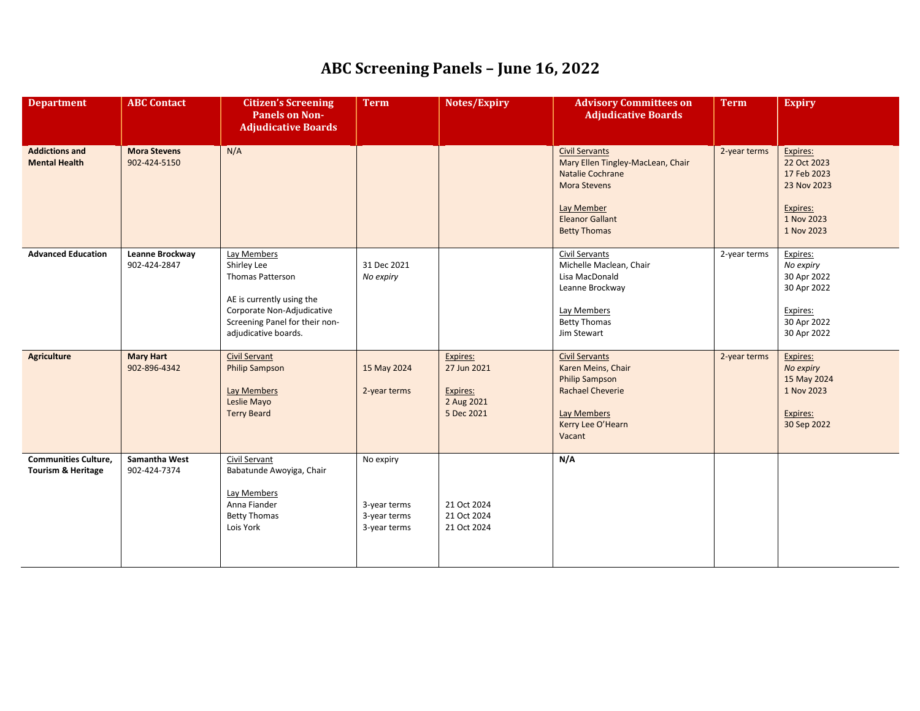| <b>Department</b>                                            | <b>ABC Contact</b>                  | <b>Citizen's Screening</b><br><b>Panels on Non-</b><br><b>Adjudicative Boards</b>                                                                                   | <b>Term</b>                                               | Notes/Expiry                                                    | <b>Advisory Committees on</b><br><b>Adjudicative Boards</b>                                                                                                          | <b>Term</b>  | <b>Expiry</b>                                                                                 |
|--------------------------------------------------------------|-------------------------------------|---------------------------------------------------------------------------------------------------------------------------------------------------------------------|-----------------------------------------------------------|-----------------------------------------------------------------|----------------------------------------------------------------------------------------------------------------------------------------------------------------------|--------------|-----------------------------------------------------------------------------------------------|
| <b>Addictions and</b><br><b>Mental Health</b>                | <b>Mora Stevens</b><br>902-424-5150 | N/A                                                                                                                                                                 |                                                           |                                                                 | <b>Civil Servants</b><br>Mary Ellen Tingley-MacLean, Chair<br>Natalie Cochrane<br><b>Mora Stevens</b><br>Lay Member<br><b>Eleanor Gallant</b><br><b>Betty Thomas</b> | 2-year terms | Expires:<br>22 Oct 2023<br>17 Feb 2023<br>23 Nov 2023<br>Expires:<br>1 Nov 2023<br>1 Nov 2023 |
| <b>Advanced Education</b>                                    | Leanne Brockway<br>902-424-2847     | Lay Members<br>Shirley Lee<br>Thomas Patterson<br>AE is currently using the<br>Corporate Non-Adjudicative<br>Screening Panel for their non-<br>adjudicative boards. | 31 Dec 2021<br>No expiry                                  |                                                                 | Civil Servants<br>Michelle Maclean, Chair<br>Lisa MacDonald<br>Leanne Brockway<br>Lay Members<br><b>Betty Thomas</b><br>Jim Stewart                                  | 2-year terms | Expires:<br>No expiry<br>30 Apr 2022<br>30 Apr 2022<br>Expires:<br>30 Apr 2022<br>30 Apr 2022 |
| <b>Agriculture</b>                                           | <b>Mary Hart</b><br>902-896-4342    | <b>Civil Servant</b><br><b>Philip Sampson</b><br>Lay Members<br>Leslie Mayo<br><b>Terry Beard</b>                                                                   | 15 May 2024<br>2-year terms                               | Expires:<br>27 Jun 2021<br>Expires:<br>2 Aug 2021<br>5 Dec 2021 | <b>Civil Servants</b><br>Karen Meins, Chair<br><b>Philip Sampson</b><br><b>Rachael Cheverie</b><br>Lay Members<br>Kerry Lee O'Hearn<br>Vacant                        | 2-year terms | Expires:<br>No expiry<br>15 May 2024<br>1 Nov 2023<br>Expires:<br>30 Sep 2022                 |
| <b>Communities Culture,</b><br><b>Tourism &amp; Heritage</b> | Samantha West<br>902-424-7374       | <b>Civil Servant</b><br>Babatunde Awoyiga, Chair<br>Lay Members<br>Anna Fiander<br><b>Betty Thomas</b><br>Lois York                                                 | No expiry<br>3-year terms<br>3-year terms<br>3-year terms | 21 Oct 2024<br>21 Oct 2024<br>21 Oct 2024                       | N/A                                                                                                                                                                  |              |                                                                                               |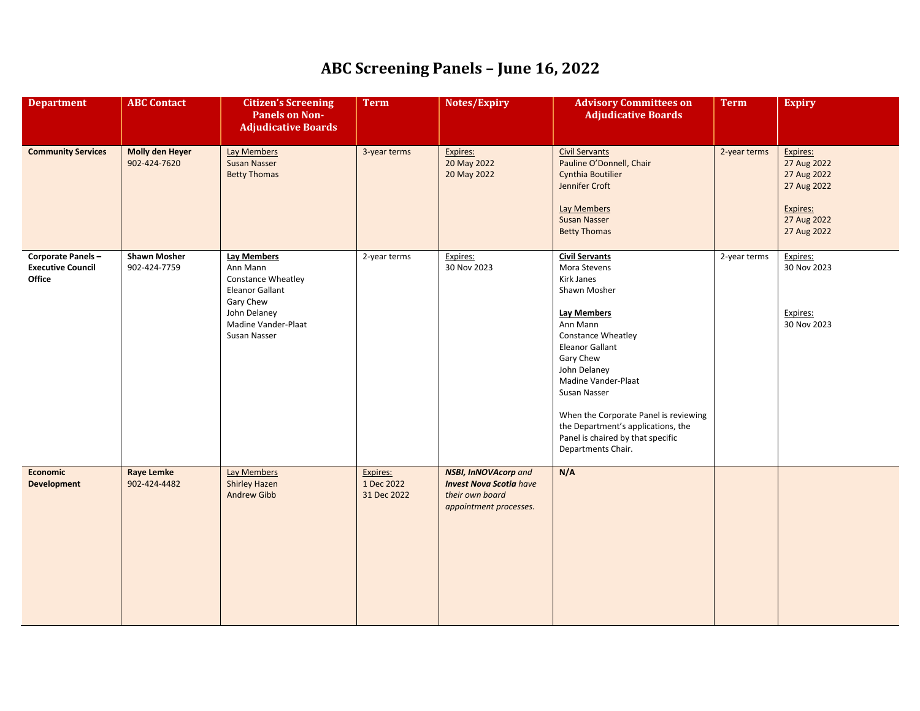| <b>Department</b>                                       | <b>ABC Contact</b>                     | <b>Citizen's Screening</b><br><b>Panels on Non-</b><br><b>Adjudicative Boards</b>                                                                         | <b>Term</b>                           | Notes/Expiry                                                                                               | <b>Advisory Committees on</b><br><b>Adjudicative Boards</b>                                                                                                                                                                                                                                                                                                                | <b>Term</b>  | <b>Expiry</b>                                                                                   |
|---------------------------------------------------------|----------------------------------------|-----------------------------------------------------------------------------------------------------------------------------------------------------------|---------------------------------------|------------------------------------------------------------------------------------------------------------|----------------------------------------------------------------------------------------------------------------------------------------------------------------------------------------------------------------------------------------------------------------------------------------------------------------------------------------------------------------------------|--------------|-------------------------------------------------------------------------------------------------|
| <b>Community Services</b>                               | <b>Molly den Heyer</b><br>902-424-7620 | <b>Lay Members</b><br><b>Susan Nasser</b><br><b>Betty Thomas</b>                                                                                          | 3-year terms                          | Expires:<br>20 May 2022<br>20 May 2022                                                                     | <b>Civil Servants</b><br>Pauline O'Donnell, Chair<br><b>Cynthia Boutilier</b><br>Jennifer Croft<br><b>Lay Members</b><br>Susan Nasser<br><b>Betty Thomas</b>                                                                                                                                                                                                               | 2-year terms | Expires:<br>27 Aug 2022<br>27 Aug 2022<br>27 Aug 2022<br>Expires:<br>27 Aug 2022<br>27 Aug 2022 |
| Corporate Panels-<br><b>Executive Council</b><br>Office | <b>Shawn Mosher</b><br>902-424-7759    | <b>Lay Members</b><br>Ann Mann<br><b>Constance Wheatley</b><br><b>Eleanor Gallant</b><br>Gary Chew<br>John Delaney<br>Madine Vander-Plaat<br>Susan Nasser | 2-year terms                          | Expires:<br>30 Nov 2023                                                                                    | <b>Civil Servants</b><br>Mora Stevens<br>Kirk Janes<br>Shawn Mosher<br><b>Lay Members</b><br>Ann Mann<br><b>Constance Wheatley</b><br><b>Eleanor Gallant</b><br>Gary Chew<br>John Delaney<br>Madine Vander-Plaat<br>Susan Nasser<br>When the Corporate Panel is reviewing<br>the Department's applications, the<br>Panel is chaired by that specific<br>Departments Chair. | 2-year terms | Expires:<br>30 Nov 2023<br>Expires:<br>30 Nov 2023                                              |
| Economic<br><b>Development</b>                          | <b>Raye Lemke</b><br>902-424-4482      | <b>Lay Members</b><br><b>Shirley Hazen</b><br><b>Andrew Gibb</b>                                                                                          | Expires:<br>1 Dec 2022<br>31 Dec 2022 | <b>NSBI, InNOVAcorp and</b><br><b>Invest Nova Scotia</b> have<br>their own board<br>appointment processes. | N/A                                                                                                                                                                                                                                                                                                                                                                        |              |                                                                                                 |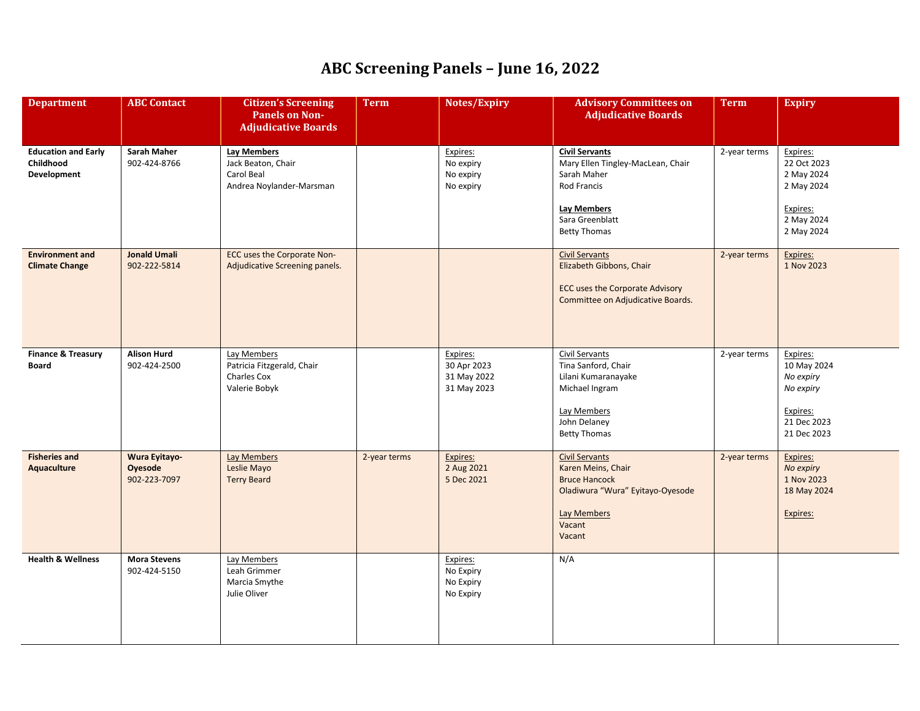| <b>Department</b>                                             | <b>ABC</b> Contact                              | <b>Citizen's Screening</b><br><b>Panels on Non-</b><br><b>Adjudicative Boards</b>  | <b>Term</b>  | Notes/Expiry                                          | <b>Advisory Committees on</b><br><b>Adjudicative Boards</b>                                                                                       | <b>Term</b>  | <b>Expiry</b>                                                                               |
|---------------------------------------------------------------|-------------------------------------------------|------------------------------------------------------------------------------------|--------------|-------------------------------------------------------|---------------------------------------------------------------------------------------------------------------------------------------------------|--------------|---------------------------------------------------------------------------------------------|
| <b>Education and Early</b><br>Childhood<br><b>Development</b> | <b>Sarah Maher</b><br>902-424-8766              | <b>Lay Members</b><br>Jack Beaton, Chair<br>Carol Beal<br>Andrea Noylander-Marsman |              | Expires:<br>No expiry<br>No expiry<br>No expiry       | <b>Civil Servants</b><br>Mary Ellen Tingley-MacLean, Chair<br>Sarah Maher<br>Rod Francis<br>Lay Members<br>Sara Greenblatt<br><b>Betty Thomas</b> | 2-year terms | Expires:<br>22 Oct 2023<br>2 May 2024<br>2 May 2024<br>Expires:<br>2 May 2024<br>2 May 2024 |
| <b>Environment and</b><br><b>Climate Change</b>               | <b>Jonald Umali</b><br>902-222-5814             | ECC uses the Corporate Non-<br>Adjudicative Screening panels.                      |              |                                                       | <b>Civil Servants</b><br>Elizabeth Gibbons, Chair<br><b>ECC uses the Corporate Advisory</b><br>Committee on Adjudicative Boards.                  | 2-year terms | Expires:<br>1 Nov 2023                                                                      |
| <b>Finance &amp; Treasury</b><br><b>Board</b>                 | <b>Alison Hurd</b><br>902-424-2500              | Lay Members<br>Patricia Fitzgerald, Chair<br>Charles Cox<br>Valerie Bobyk          |              | Expires:<br>30 Apr 2023<br>31 May 2022<br>31 May 2023 | Civil Servants<br>Tina Sanford, Chair<br>Lilani Kumaranayake<br>Michael Ingram<br>Lay Members<br>John Delaney<br><b>Betty Thomas</b>              | 2-year terms | Expires:<br>10 May 2024<br>No expiry<br>No expiry<br>Expires:<br>21 Dec 2023<br>21 Dec 2023 |
| <b>Fisheries and</b><br>Aquaculture                           | <b>Wura Eyitayo-</b><br>Oyesode<br>902-223-7097 | Lay Members<br>Leslie Mayo<br><b>Terry Beard</b>                                   | 2-year terms | Expires:<br>2 Aug 2021<br>5 Dec 2021                  | <b>Civil Servants</b><br>Karen Meins, Chair<br><b>Bruce Hancock</b><br>Oladiwura "Wura" Eyitayo-Oyesode<br><b>Lay Members</b><br>Vacant<br>Vacant | 2-year terms | Expires:<br>No expiry<br>1 Nov 2023<br>18 May 2024<br>Expires:                              |
| <b>Health &amp; Wellness</b>                                  | <b>Mora Stevens</b><br>902-424-5150             | Lay Members<br>Leah Grimmer<br>Marcia Smythe<br>Julie Oliver                       |              | Expires:<br>No Expiry<br>No Expiry<br>No Expiry       | N/A                                                                                                                                               |              |                                                                                             |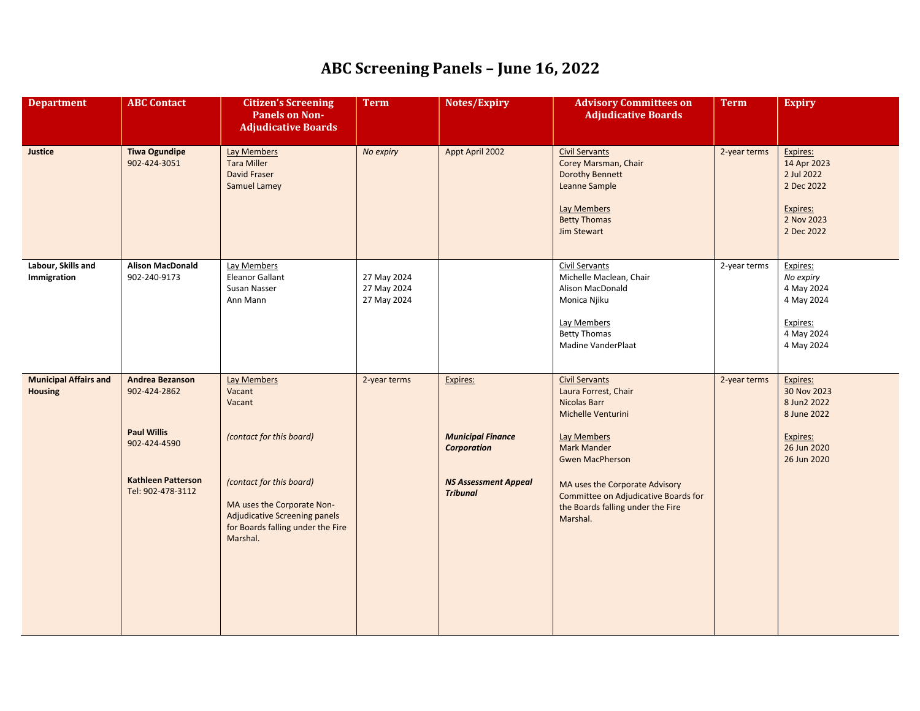| <b>Department</b>                              | <b>ABC Contact</b>                                                                                                             | <b>Citizen's Screening</b><br><b>Panels on Non-</b><br><b>Adjudicative Boards</b>                                                                                                                                     | <b>Term</b>                               | Notes/Expiry                                                                                                 | <b>Advisory Committees on</b><br><b>Adjudicative Boards</b>                                                                                                                                                                                                                   | <b>Term</b>  | <b>Expiry</b>                                                                                   |
|------------------------------------------------|--------------------------------------------------------------------------------------------------------------------------------|-----------------------------------------------------------------------------------------------------------------------------------------------------------------------------------------------------------------------|-------------------------------------------|--------------------------------------------------------------------------------------------------------------|-------------------------------------------------------------------------------------------------------------------------------------------------------------------------------------------------------------------------------------------------------------------------------|--------------|-------------------------------------------------------------------------------------------------|
| Justice                                        | <b>Tiwa Ogundipe</b><br>902-424-3051                                                                                           | <b>Lay Members</b><br><b>Tara Miller</b><br>David Fraser<br><b>Samuel Lamey</b>                                                                                                                                       | No expiry                                 | Appt April 2002                                                                                              | <b>Civil Servants</b><br>Corey Marsman, Chair<br><b>Dorothy Bennett</b><br>Leanne Sample<br><b>Lay Members</b><br><b>Betty Thomas</b><br><b>Jim Stewart</b>                                                                                                                   | 2-year terms | Expires:<br>14 Apr 2023<br>2 Jul 2022<br>2 Dec 2022<br>Expires:<br>2 Nov 2023<br>2 Dec 2022     |
| Labour, Skills and<br>Immigration              | <b>Alison MacDonald</b><br>902-240-9173                                                                                        | Lay Members<br>Eleanor Gallant<br>Susan Nasser<br>Ann Mann                                                                                                                                                            | 27 May 2024<br>27 May 2024<br>27 May 2024 |                                                                                                              | Civil Servants<br>Michelle Maclean, Chair<br>Alison MacDonald<br>Monica Njiku<br>Lay Members<br><b>Betty Thomas</b><br>Madine VanderPlaat                                                                                                                                     | 2-year terms | Expires:<br>No expiry<br>4 May 2024<br>4 May 2024<br>Expires:<br>4 May 2024<br>4 May 2024       |
| <b>Municipal Affairs and</b><br><b>Housing</b> | <b>Andrea Bezanson</b><br>902-424-2862<br><b>Paul Willis</b><br>902-424-4590<br><b>Kathleen Patterson</b><br>Tel: 902-478-3112 | <b>Lay Members</b><br>Vacant<br>Vacant<br>(contact for this board)<br>(contact for this board)<br>MA uses the Corporate Non-<br><b>Adjudicative Screening panels</b><br>for Boards falling under the Fire<br>Marshal. | 2-year terms                              | Expires:<br><b>Municipal Finance</b><br><b>Corporation</b><br><b>NS Assessment Appeal</b><br><b>Tribunal</b> | <b>Civil Servants</b><br>Laura Forrest, Chair<br>Nicolas Barr<br>Michelle Venturini<br>Lay Members<br><b>Mark Mander</b><br><b>Gwen MacPherson</b><br>MA uses the Corporate Advisory<br>Committee on Adjudicative Boards for<br>the Boards falling under the Fire<br>Marshal. | 2-year terms | Expires:<br>30 Nov 2023<br>8 Jun2 2022<br>8 June 2022<br>Expires:<br>26 Jun 2020<br>26 Jun 2020 |
|                                                |                                                                                                                                |                                                                                                                                                                                                                       |                                           |                                                                                                              |                                                                                                                                                                                                                                                                               |              |                                                                                                 |